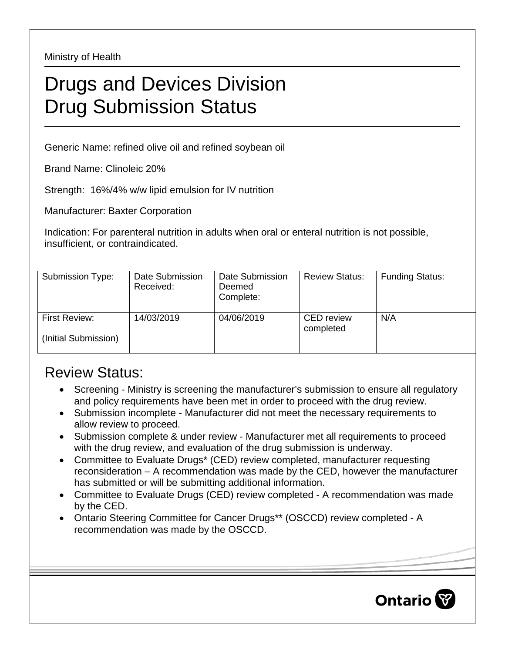Ministry of Health

## Drugs and Devices Division Drug Submission Status

Generic Name: refined olive oil and refined soybean oil

Brand Name: Clinoleic 20%

Strength: 16%/4% w/w lipid emulsion for IV nutrition

Manufacturer: Baxter Corporation

Indication: For parenteral nutrition in adults when oral or enteral nutrition is not possible, insufficient, or contraindicated.

| Submission Type:                             | Date Submission<br>Received: | Date Submission<br>Deemed<br>Complete: | <b>Review Status:</b>          | <b>Funding Status:</b> |
|----------------------------------------------|------------------------------|----------------------------------------|--------------------------------|------------------------|
| <b>First Review:</b><br>(Initial Submission) | 14/03/2019                   | 04/06/2019                             | <b>CED</b> review<br>completed | N/A                    |

## Review Status:

- Screening Ministry is screening the manufacturer's submission to ensure all regulatory and policy requirements have been met in order to proceed with the drug review.
- Submission incomplete Manufacturer did not meet the necessary requirements to allow review to proceed.
- Submission complete & under review Manufacturer met all requirements to proceed with the drug review, and evaluation of the drug submission is underway.
- Committee to Evaluate Drugs\* (CED) review completed, manufacturer requesting reconsideration – A recommendation was made by the CED, however the manufacturer has submitted or will be submitting additional information.
- Committee to Evaluate Drugs (CED) review completed A recommendation was made by the CED.
- Ontario Steering Committee for Cancer Drugs\*\* (OSCCD) review completed A recommendation was made by the OSCCD.